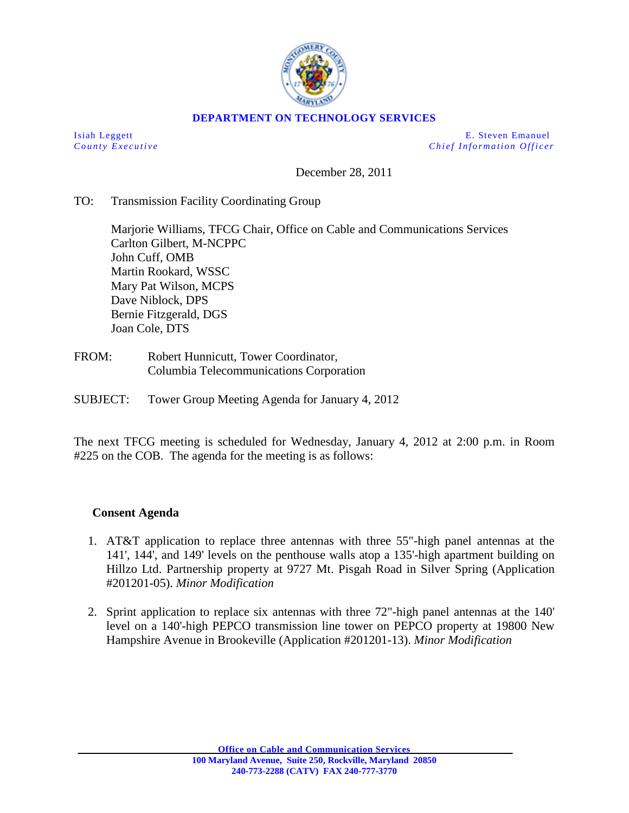

## **DEPARTMENT ON TECHNOLOGY SERVICES**

Isiah Leggett E. Steven Emanuel *County Executive Chief Information O fficer*

December 28, 2011

## TO: Transmission Facility Coordinating Group

Marjorie Williams, TFCG Chair, Office on Cable and Communications Services Carlton Gilbert, M-NCPPC John Cuff, OMB Martin Rookard, WSSC Mary Pat Wilson, MCPS Dave Niblock, DPS Bernie Fitzgerald, DGS Joan Cole, DTS

- FROM: Robert Hunnicutt, Tower Coordinator, Columbia Telecommunications Corporation
- SUBJECT: Tower Group Meeting Agenda for January 4, 2012

The next TFCG meeting is scheduled for Wednesday, January 4, 2012 at 2:00 p.m. in Room #225 on the COB. The agenda for the meeting is as follows:

## **Consent Agenda**

- 1. AT&T application to replace three antennas with three 55"-high panel antennas at the 141', 144', and 149' levels on the penthouse walls atop a 135'-high apartment building on Hillzo Ltd. Partnership property at 9727 Mt. Pisgah Road in Silver Spring (Application #201201-05). *Minor Modification*
- 2. Sprint application to replace six antennas with three 72"-high panel antennas at the 140' level on a 140'-high PEPCO transmission line tower on PEPCO property at 19800 New Hampshire Avenue in Brookeville (Application #201201-13). *Minor Modification*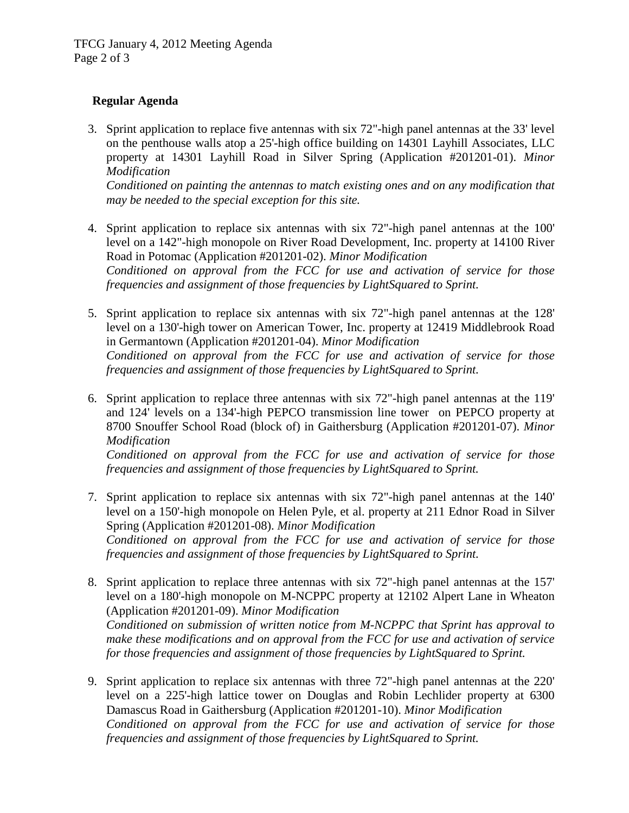## **Regular Agenda**

3. Sprint application to replace five antennas with six 72"-high panel antennas at the 33' level on the penthouse walls atop a 25'-high office building on 14301 Layhill Associates, LLC property at 14301 Layhill Road in Silver Spring (Application #201201-01). *Minor Modification*

*Conditioned on painting the antennas to match existing ones and on any modification that may be needed to the special exception for this site.*

- 4. Sprint application to replace six antennas with six 72"-high panel antennas at the 100' level on a 142"-high monopole on River Road Development, Inc. property at 14100 River Road in Potomac (Application #201201-02). *Minor Modification Conditioned on approval from the FCC for use and activation of service for those frequencies and assignment of those frequencies by LightSquared to Sprint.*
- 5. Sprint application to replace six antennas with six 72"-high panel antennas at the 128' level on a 130'-high tower on American Tower, Inc. property at 12419 Middlebrook Road in Germantown (Application #201201-04). *Minor Modification Conditioned on approval from the FCC for use and activation of service for those frequencies and assignment of those frequencies by LightSquared to Sprint.*
- 6. Sprint application to replace three antennas with six 72"-high panel antennas at the 119' and 124' levels on a 134'-high PEPCO transmission line tower on PEPCO property at 8700 Snouffer School Road (block of) in Gaithersburg (Application #201201-07). *Minor Modification Conditioned on approval from the FCC for use and activation of service for those frequencies and assignment of those frequencies by LightSquared to Sprint.*
- 7. Sprint application to replace six antennas with six 72"-high panel antennas at the 140' level on a 150'-high monopole on Helen Pyle, et al. property at 211 Ednor Road in Silver Spring (Application #201201-08). *Minor Modification Conditioned on approval from the FCC for use and activation of service for those frequencies and assignment of those frequencies by LightSquared to Sprint.*
- 8. Sprint application to replace three antennas with six 72"-high panel antennas at the 157' level on a 180'-high monopole on M-NCPPC property at 12102 Alpert Lane in Wheaton (Application #201201-09). *Minor Modification Conditioned on submission of written notice from M-NCPPC that Sprint has approval to make these modifications and on approval from the FCC for use and activation of service for those frequencies and assignment of those frequencies by LightSquared to Sprint.*
- 9. Sprint application to replace six antennas with three 72"-high panel antennas at the 220' level on a 225'-high lattice tower on Douglas and Robin Lechlider property at 6300 Damascus Road in Gaithersburg (Application #201201-10). *Minor Modification Conditioned on approval from the FCC for use and activation of service for those frequencies and assignment of those frequencies by LightSquared to Sprint.*